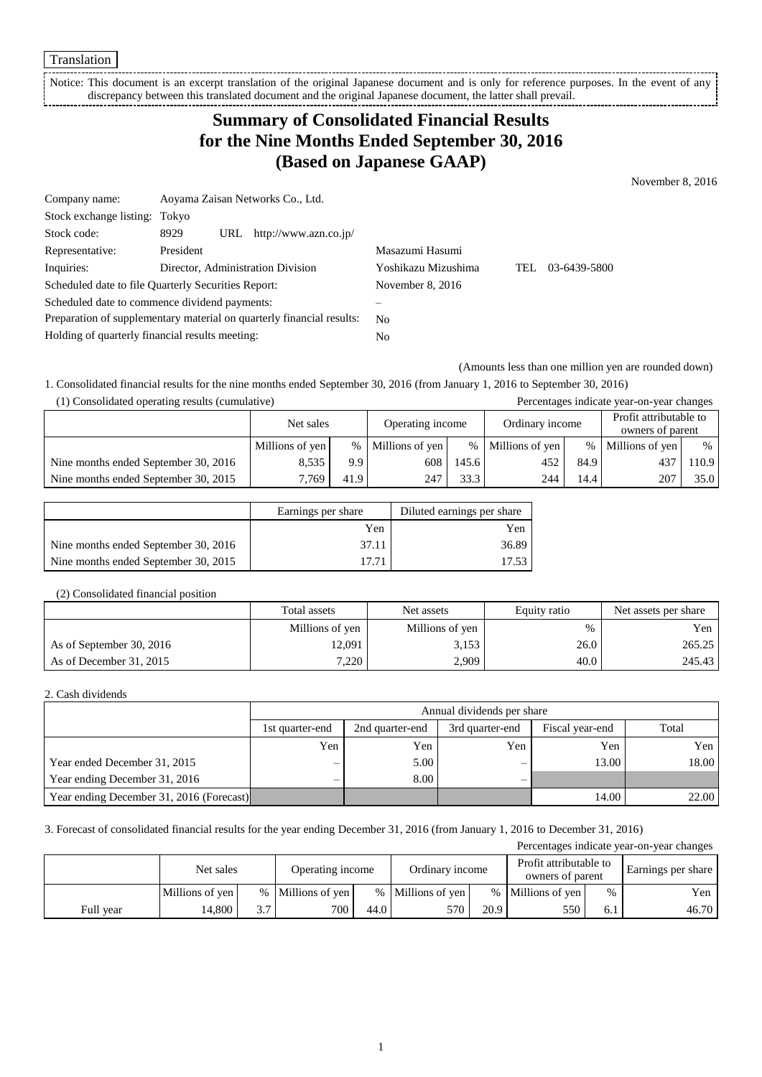Translation

Notice: This document is an excerpt translation of the original Japanese document and is only for reference purposes. In the event of any discrepancy between this translated document and the original Japanese document, the latter shall prevail. 

# **Summary of Consolidated Financial Results for the Nine Months Ended September 30, 2016 (Based on Japanese GAAP)**

November 8, 2016

| Company name:                                                         |           | Aoyama Zaisan Networks Co., Ltd. |                                   |                     |      |              |  |  |
|-----------------------------------------------------------------------|-----------|----------------------------------|-----------------------------------|---------------------|------|--------------|--|--|
| Stock exchange listing: Tokyo                                         |           |                                  |                                   |                     |      |              |  |  |
| Stock code:                                                           | 8929      | URL                              | http://www.azn.co.jp/             |                     |      |              |  |  |
| Representative:                                                       | President |                                  |                                   | Masazumi Hasumi     |      |              |  |  |
| Inquiries:                                                            |           |                                  | Director, Administration Division | Yoshikazu Mizushima | TEL. | 03-6439-5800 |  |  |
| Scheduled date to file Quarterly Securities Report:                   |           |                                  | November 8, 2016                  |                     |      |              |  |  |
| Scheduled date to commence dividend payments:                         |           |                                  |                                   |                     |      |              |  |  |
| Preparation of supplementary material on quarterly financial results: |           | N <sub>0</sub>                   |                                   |                     |      |              |  |  |
| Holding of quarterly financial results meeting:                       |           |                                  | No.                               |                     |      |              |  |  |

(Amounts less than one million yen are rounded down)

1. Consolidated financial results for the nine months ended September 30, 2016 (from January 1, 2016 to September 30, 2016)

| (1) Consolidated operating results (cumulative) |                 |      |                   |       |                 |      | Percentages indicate year-on-year changes  |      |
|-------------------------------------------------|-----------------|------|-------------------|-------|-----------------|------|--------------------------------------------|------|
|                                                 | Net sales       |      | Operating income  |       | Ordinary income |      | Profit attributable to<br>owners of parent |      |
|                                                 | Millions of yen |      | % Millions of yen | $\%$  | Millions of yen |      | % Millions of yen                          | %    |
| Nine months ended September 30, 2016            | 8.535           | 9.9  | 608               | 145.6 | 452             | 84.9 | 437                                        | 10.9 |
| Nine months ended September 30, 2015            | 7.769           | 41.9 | 247               | 33.3  | 244             | 14.4 | 207                                        | 35.0 |

|                                      | Earnings per share | Diluted earnings per share |
|--------------------------------------|--------------------|----------------------------|
|                                      | Yen                | Yen                        |
| Nine months ended September 30, 2016 | 37.11              | 36.89                      |
| Nine months ended September 30, 2015 |                    | 17.53                      |

### (2) Consolidated financial position

|                          | Total assets    | Net assets      | Equity ratio | Net assets per share |
|--------------------------|-----------------|-----------------|--------------|----------------------|
|                          | Millions of yen | Millions of yen | $\%$         | Yen                  |
| As of September 30, 2016 | 12.091          | 3.153           | 26.0         | 265.25               |
| As of December 31, 2015  | 7,220           | 2,909           | 40.0         | 245.43               |

### 2. Cash dividends

|                                          |                 | Annual dividends per share                                     |     |       |       |  |  |  |  |
|------------------------------------------|-----------------|----------------------------------------------------------------|-----|-------|-------|--|--|--|--|
|                                          | 1st quarter-end | Total<br>3rd quarter-end<br>2nd quarter-end<br>Fiscal year-end |     |       |       |  |  |  |  |
|                                          | Yen             | Yen                                                            | Yen | Yen   | Yen   |  |  |  |  |
| Year ended December 31, 2015             |                 | 5.00                                                           |     | 13.00 | 18.00 |  |  |  |  |
| Year ending December 31, 2016            |                 | 8.00                                                           |     |       |       |  |  |  |  |
| Year ending December 31, 2016 (Forecast) |                 |                                                                |     | 14.00 | 22.00 |  |  |  |  |

### 3. Forecast of consolidated financial results for the year ending December 31, 2016 (from January 1, 2016 to December 31, 2016)

| Percentages indicate year-on-year changes |                 |      |                  |      |                   |      |                                            |      |       |                    |
|-------------------------------------------|-----------------|------|------------------|------|-------------------|------|--------------------------------------------|------|-------|--------------------|
|                                           | Net sales       |      | Operating income |      | Ordinary income   |      | Profit attributable to<br>owners of parent |      |       | Earnings per share |
|                                           | Millions of yen | $\%$ | Millions of yen  |      | % Millions of yen |      | % Millions of yen                          | $\%$ | Yen l |                    |
| Full year                                 | 14.800          | 3.7  | 700              | 44.0 | 570               | 20.9 | 550                                        | 6.1  | 46.70 |                    |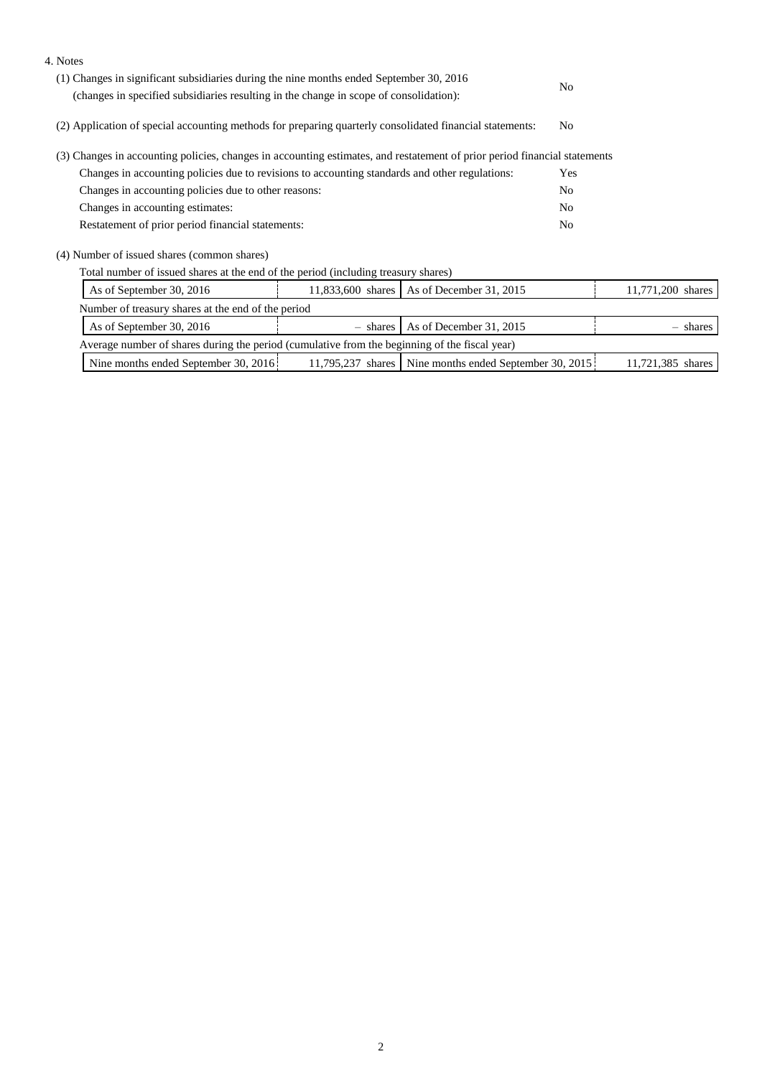| (1) Changes in significant subsidiaries during the nine months ended September 30, 2016                  |  |                                                                                                                                                                                     |                                                                                                                                                                                                                                                                                               |  |  |
|----------------------------------------------------------------------------------------------------------|--|-------------------------------------------------------------------------------------------------------------------------------------------------------------------------------------|-----------------------------------------------------------------------------------------------------------------------------------------------------------------------------------------------------------------------------------------------------------------------------------------------|--|--|
| (changes in specified subsidiaries resulting in the change in scope of consolidation):                   |  |                                                                                                                                                                                     |                                                                                                                                                                                                                                                                                               |  |  |
| (2) Application of special accounting methods for preparing quarterly consolidated financial statements: |  |                                                                                                                                                                                     |                                                                                                                                                                                                                                                                                               |  |  |
|                                                                                                          |  |                                                                                                                                                                                     |                                                                                                                                                                                                                                                                                               |  |  |
| Changes in accounting policies due to revisions to accounting standards and other regulations:           |  |                                                                                                                                                                                     |                                                                                                                                                                                                                                                                                               |  |  |
| Changes in accounting policies due to other reasons:                                                     |  |                                                                                                                                                                                     |                                                                                                                                                                                                                                                                                               |  |  |
| Changes in accounting estimates:                                                                         |  |                                                                                                                                                                                     |                                                                                                                                                                                                                                                                                               |  |  |
| Restatement of prior period financial statements:                                                        |  |                                                                                                                                                                                     |                                                                                                                                                                                                                                                                                               |  |  |
|                                                                                                          |  |                                                                                                                                                                                     |                                                                                                                                                                                                                                                                                               |  |  |
|                                                                                                          |  |                                                                                                                                                                                     |                                                                                                                                                                                                                                                                                               |  |  |
| As of December 31, 2015<br>As of September 30, 2016<br>11,833,600 shares                                 |  |                                                                                                                                                                                     |                                                                                                                                                                                                                                                                                               |  |  |
| Number of treasury shares at the end of the period                                                       |  |                                                                                                                                                                                     |                                                                                                                                                                                                                                                                                               |  |  |
| As of December 31, 2015<br>As of September 30, 2016<br>- shares                                          |  |                                                                                                                                                                                     |                                                                                                                                                                                                                                                                                               |  |  |
|                                                                                                          |  |                                                                                                                                                                                     |                                                                                                                                                                                                                                                                                               |  |  |
|                                                                                                          |  |                                                                                                                                                                                     | 11,721,385 shares                                                                                                                                                                                                                                                                             |  |  |
|                                                                                                          |  | Total number of issued shares at the end of the period (including treasury shares)<br>Average number of shares during the period (cumulative from the beginning of the fiscal year) | N <sub>0</sub><br>N <sub>0</sub><br>(3) Changes in accounting policies, changes in accounting estimates, and restatement of prior period financial statements<br><b>Yes</b><br>N <sub>0</sub><br>N <sub>0</sub><br>N <sub>0</sub><br>11,795,237 shares   Nine months ended September 30, 2015 |  |  |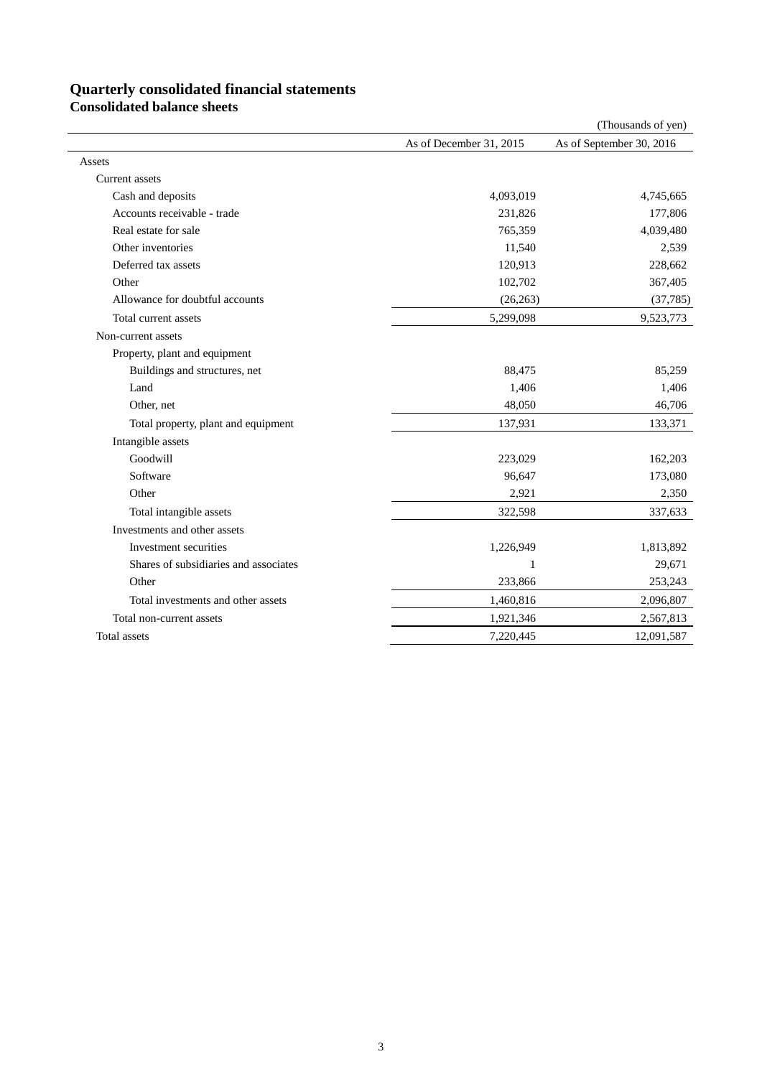# **Quarterly consolidated financial statements**

**Consolidated balance sheets**

|                                       |                         | (Thousands of yen)       |
|---------------------------------------|-------------------------|--------------------------|
|                                       | As of December 31, 2015 | As of September 30, 2016 |
| Assets                                |                         |                          |
| <b>Current</b> assets                 |                         |                          |
| Cash and deposits                     | 4,093,019               | 4,745,665                |
| Accounts receivable - trade           | 231,826                 | 177,806                  |
| Real estate for sale                  | 765,359                 | 4,039,480                |
| Other inventories                     | 11,540                  | 2,539                    |
| Deferred tax assets                   | 120,913                 | 228,662                  |
| Other                                 | 102,702                 | 367,405                  |
| Allowance for doubtful accounts       | (26, 263)               | (37, 785)                |
| Total current assets                  | 5,299,098               | 9,523,773                |
| Non-current assets                    |                         |                          |
| Property, plant and equipment         |                         |                          |
| Buildings and structures, net         | 88,475                  | 85,259                   |
| Land                                  | 1,406                   | 1,406                    |
| Other, net                            | 48,050                  | 46,706                   |
| Total property, plant and equipment   | 137,931                 | 133,371                  |
| Intangible assets                     |                         |                          |
| Goodwill                              | 223,029                 | 162,203                  |
| Software                              | 96,647                  | 173,080                  |
| Other                                 | 2,921                   | 2,350                    |
| Total intangible assets               | 322,598                 | 337,633                  |
| Investments and other assets          |                         |                          |
| Investment securities                 | 1,226,949               | 1,813,892                |
| Shares of subsidiaries and associates | 1                       | 29,671                   |
| Other                                 | 233,866                 | 253,243                  |
| Total investments and other assets    | 1,460,816               | 2,096,807                |
| Total non-current assets              | 1,921,346               | 2,567,813                |
| Total assets                          | 7,220,445               | 12,091,587               |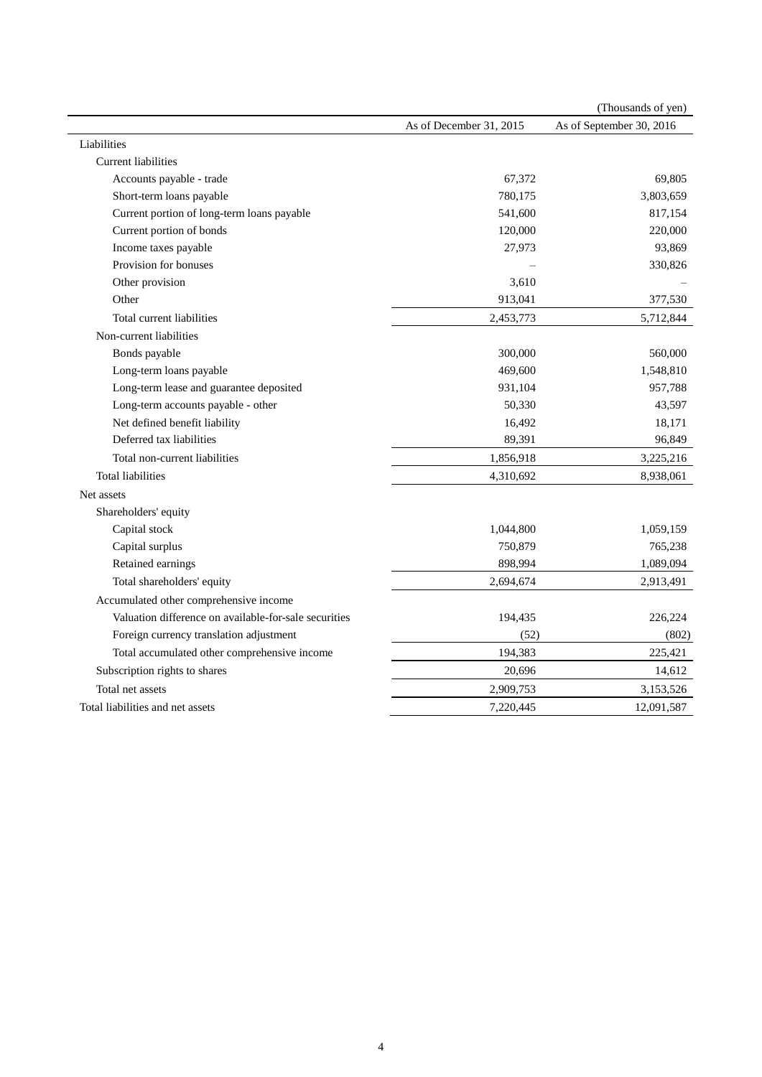|                                                       |                         | (Thousands of yen)       |
|-------------------------------------------------------|-------------------------|--------------------------|
|                                                       | As of December 31, 2015 | As of September 30, 2016 |
| Liabilities                                           |                         |                          |
| <b>Current liabilities</b>                            |                         |                          |
| Accounts payable - trade                              | 67,372                  | 69,805                   |
| Short-term loans payable                              | 780,175                 | 3,803,659                |
| Current portion of long-term loans payable            | 541,600                 | 817,154                  |
| Current portion of bonds                              | 120,000                 | 220,000                  |
| Income taxes payable                                  | 27,973                  | 93,869                   |
| Provision for bonuses                                 |                         | 330,826                  |
| Other provision                                       | 3,610                   |                          |
| Other                                                 | 913,041                 | 377,530                  |
| Total current liabilities                             | 2,453,773               | 5,712,844                |
| Non-current liabilities                               |                         |                          |
| Bonds payable                                         | 300,000                 | 560,000                  |
| Long-term loans payable                               | 469,600                 | 1,548,810                |
| Long-term lease and guarantee deposited               | 931,104                 | 957,788                  |
| Long-term accounts payable - other                    | 50,330                  | 43,597                   |
| Net defined benefit liability                         | 16,492                  | 18,171                   |
| Deferred tax liabilities                              | 89,391                  | 96,849                   |
| Total non-current liabilities                         | 1,856,918               | 3,225,216                |
| <b>Total liabilities</b>                              | 4,310,692               | 8,938,061                |
| Net assets                                            |                         |                          |
| Shareholders' equity                                  |                         |                          |
| Capital stock                                         | 1,044,800               | 1,059,159                |
| Capital surplus                                       | 750,879                 | 765,238                  |
| Retained earnings                                     | 898,994                 | 1,089,094                |
| Total shareholders' equity                            | 2,694,674               | 2,913,491                |
| Accumulated other comprehensive income                |                         |                          |
| Valuation difference on available-for-sale securities | 194,435                 | 226,224                  |
| Foreign currency translation adjustment               | (52)                    | (802)                    |
| Total accumulated other comprehensive income          | 194,383                 | 225,421                  |
| Subscription rights to shares                         | 20,696                  | 14,612                   |
| Total net assets                                      | 2,909,753               | 3,153,526                |
| Total liabilities and net assets                      | 7,220,445               | 12,091,587               |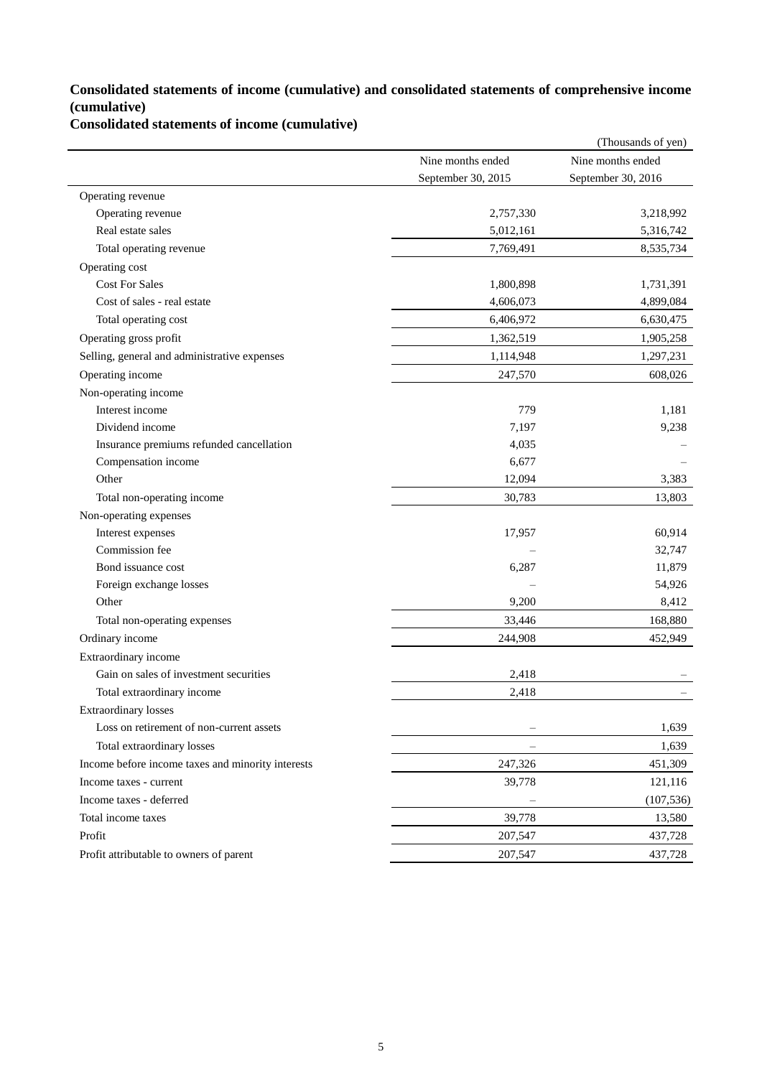## **Consolidated statements of income (cumulative) and consolidated statements of comprehensive income (cumulative)**

## **Consolidated statements of income (cumulative)**

|                                                   |                    | (Thousands of yen) |
|---------------------------------------------------|--------------------|--------------------|
|                                                   | Nine months ended  | Nine months ended  |
|                                                   | September 30, 2015 | September 30, 2016 |
| Operating revenue                                 |                    |                    |
| Operating revenue                                 | 2,757,330          | 3,218,992          |
| Real estate sales                                 | 5,012,161          | 5,316,742          |
| Total operating revenue                           | 7,769,491          | 8,535,734          |
| Operating cost                                    |                    |                    |
| <b>Cost For Sales</b>                             | 1,800,898          | 1,731,391          |
| Cost of sales - real estate                       | 4,606,073          | 4,899,084          |
| Total operating cost                              | 6,406,972          | 6,630,475          |
| Operating gross profit                            | 1,362,519          | 1,905,258          |
| Selling, general and administrative expenses      | 1,114,948          | 1,297,231          |
| Operating income                                  | 247,570            | 608,026            |
| Non-operating income                              |                    |                    |
| Interest income                                   | 779                | 1,181              |
| Dividend income                                   | 7,197              | 9,238              |
| Insurance premiums refunded cancellation          | 4,035              |                    |
| Compensation income                               | 6,677              |                    |
| Other                                             | 12,094             | 3,383              |
| Total non-operating income                        | 30,783             | 13,803             |
| Non-operating expenses                            |                    |                    |
| Interest expenses                                 | 17,957             | 60,914             |
| Commission fee                                    |                    | 32,747             |
| Bond issuance cost                                | 6,287              | 11,879             |
| Foreign exchange losses                           |                    | 54,926             |
| Other                                             | 9,200              | 8,412              |
| Total non-operating expenses                      | 33,446             | 168,880            |
| Ordinary income                                   | 244,908            | 452,949            |
| Extraordinary income                              |                    |                    |
| Gain on sales of investment securities            | 2,418              |                    |
| Total extraordinary income                        | 2,418              |                    |
| <b>Extraordinary losses</b>                       |                    |                    |
| Loss on retirement of non-current assets          |                    | 1,639              |
| Total extraordinary losses                        | $\qquad \qquad -$  | 1,639              |
| Income before income taxes and minority interests | 247,326            | 451,309            |
| Income taxes - current                            | 39,778             | 121,116            |
| Income taxes - deferred                           |                    | (107, 536)         |
| Total income taxes                                | 39,778             | 13,580             |
| Profit                                            | 207,547            | 437,728            |
| Profit attributable to owners of parent           | 207,547            | 437,728            |